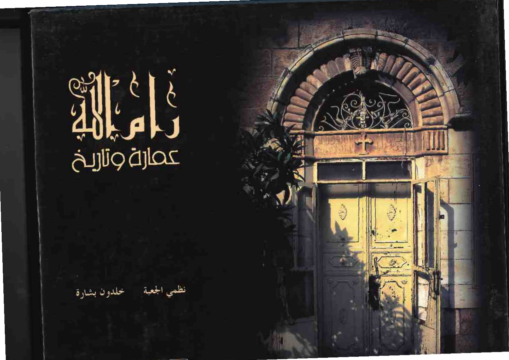# 

خلدون بشارة

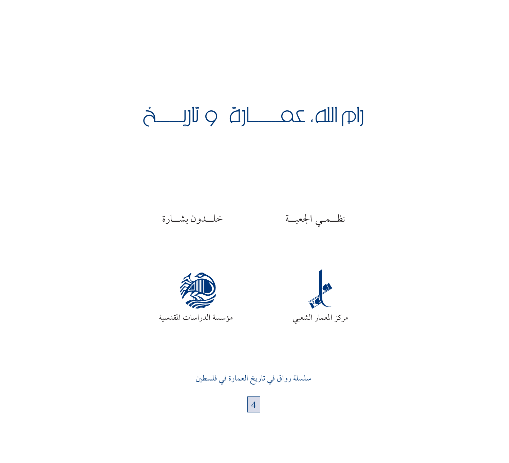# 



سلسلة رواق في تاريخ العمارة في فلسطين

 $\overline{4}$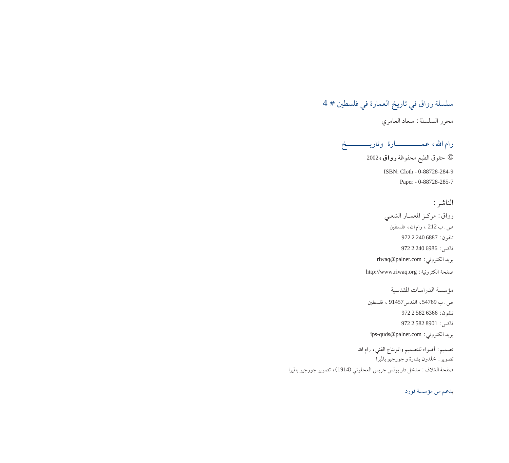### سلسلة رواق في تاريخ العمارة في فلسطين # 4 محرر السلسلة: سعاد العامري

رام الله، عمــــــــــــارة وتاريـــــــــــخ © حقوق الطبع محفوظة **رواق ،** 2002

ISBN: Cloth - 0-88728-284-9 Paper - 0-88728-285-7

الناشر :

رواق: مركـز المعمـار الشعبي ص.ب 212 ، رام الله، فلسطين تلفون: 6887 2240 972  $97222406986:$ فاكس riwaq@palnet.com : بريد الكتروني صفحة الكترونية : http://www.riwaq.org

مؤسسة الدراسات المقدسية ص.ب 54769، القدس91457 ، فلسطين تلفون: 6366 582 972  $97225828901:$ فاكس ips-quds@palnet.com : بريد الكتروني

تصميم: أضواء للتصميم والمونتاج الفني، رام الله تصوير : خلدون بشارة و جورجيو بالميرا صفحة الغلاف: مدخل دار بولس جريس العجلوني (1914)، تصوير جورجيو بالميرا

بدعم من مؤسسة فورد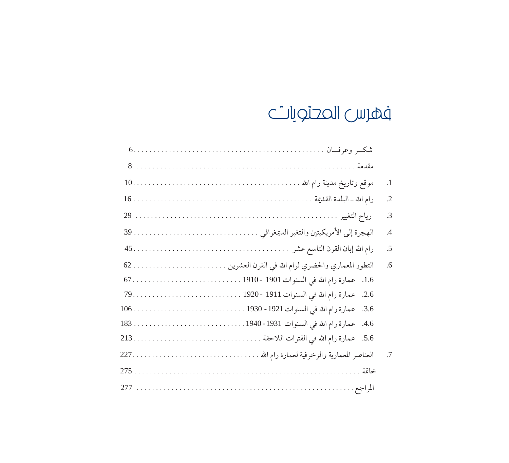### فهرس المحتويات

|       | $\cdot$ 1 |
|-------|-----------|
|       | $\cdot$   |
|       | $\cdot$ 3 |
|       | $\cdot$ 4 |
|       | .5        |
|       | .6        |
|       |           |
|       |           |
|       |           |
|       |           |
|       |           |
|       | $\cdot$ 7 |
| خاتمة |           |
|       |           |
|       |           |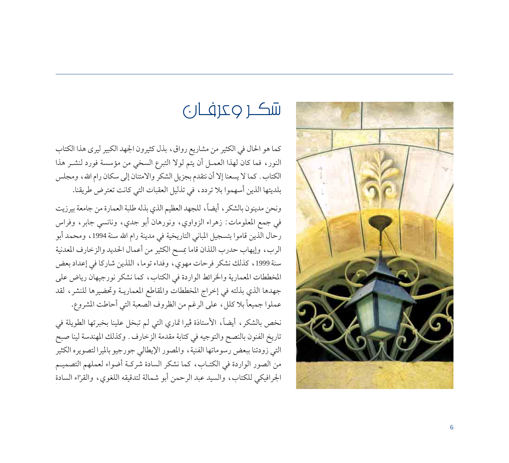

## 

كما هو الحال في الكثير من مشاريع رواق، بذل كثيرون الجهد الكبير ليرى هذا الكتاب النور، فما كان لهذا العمـل أن يتم لولا التبرع السخى من مؤسسة فورد لنشـر هذا الكتاب . كما لا يسعنا إلا أن نتقدم بجزيل الشكر والامتنان إلى سكان رام الله، ومجلس بلديتها الذين أسهموا بلا تردد، في تذليل العقبات التي كانت تعترض طريقنا.

ونحن مدينون بالشكر ، أيضاً، للجهد العظيم الذي بذله طلبة العمارة من جامعة بيرزيت في جمع المعلومات: زهراء الزواوي، ونورهان أبو جدي، ونانسي جابر، وفراس رحال الذين قاموا بتسجيل المباني التاريخية في مدينة رام الله سنة 1994، ومحمد أبو الرب، وإيهاب حدرب اللذان قاما بمسح الكثير من أعمال الحديد والزخارف المعدنية سنة 1999، كذلك نشكر فرحات مهوى، وفداء توما، اللذين شاركا في إعداد بعض المخططات المعمارية والخرائط الواردة في الكتاب، كما نشكر نورجيهان رياض على جهدها الذي بذلته في إخراج المخططات والمقاطع المعماريـة وتحضيرها للنشر، لقد عملوا جميعاً بلا كلل، على الرغم من الظروف الصعبة التي أحاطت المشروع.

نخص بالشكر، أيضاً، الأستاذة ڤيرا تماري التي لم تبخل علينا بخبرتها الطويلة في تاريخ الفنون بالنصح والتوجيه في كتابة مقدمة الزخارف . وكذلك المهندسة لينا صبح التي زودتنا ببعض رسوماتها الفنية، والمصور الإيطالي جورجيو بالميرا لتصويره الكثير من الصور الواردة في الكتـاب، كما نشكر السادة شركـة أضواء لعملهم التصميـم الجرافيكي للكتاب، والسيد عبد الرحمن أبو شمالة لتدقيقه اللغوي، والقرّاء السادة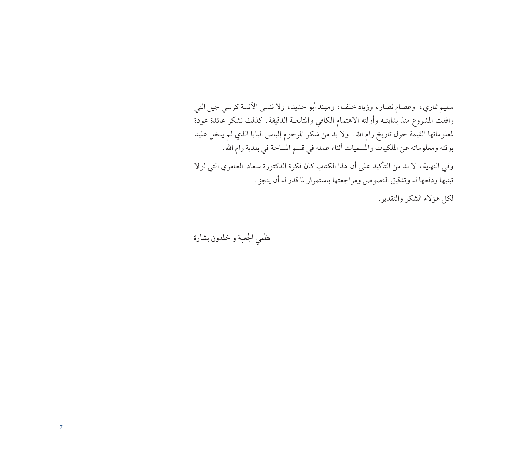سليم تماري، وعصام نصار، وزياد خلف، ومهند أبو حديد، ولا ننسى الآنسة كرسي جيل التي رافقت المشروع منذ بدايتــه وأولته الاهتمام الكافي والمتابعــة الدقيقة . كذلك نشكر عائدة عودة لمعلوماتها القيمة حول تاريخ رام الله . ولا بد من شكر المرحوم إلياس البابا الذي لم يبخل علينا بوقته ومعلوماته عن الملكيات والمسميات أثناء عمله في قسم المساحة في بلدية رام الله .

وفي النهاية، لا بد من التأكيد على أن هذا الكتاب كان فكرة الدكتورة سعاد العامري التي لولا تبنيها ودفعها له وتدقيق النصوص ومراجعتها باستمرار لما قدر له أن ينجز .

لكل هؤلاء الشكر والتقدير.

نظمي الجعبة و خلدون بشارة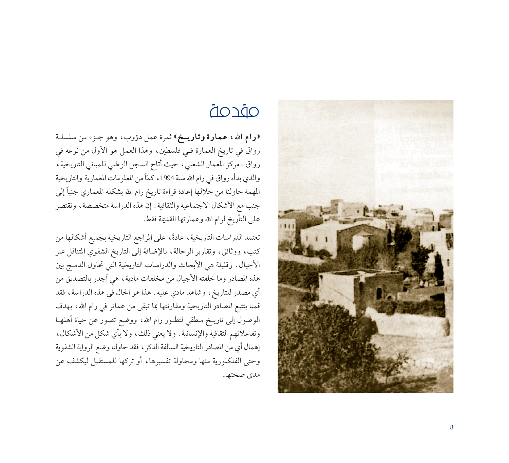

### <u>OĎCOĎ</u>

«رام الله ، عمارة وتاريخ» ثمرة عمل دؤوب، وهو جزء من سلسلة رواق في تاريخ العمارة فـي فلسطين، وهذا العمل هو الأول من نوعه في رواق ـ مركز المعمار الشعبي، حيث أتاح السجل الوطني للمباني التاريخية، والذي بدأه رواق في رام الله سنة 1994، كمَّاً من المعلومات المعمارية والتاريخية المهمة حاولنا من خلالها إعادة قراءة تاريخ رام الله بشكله المعماري جنباً إلى جنب مع الأشكال الاجتماعية والثقافية . إن هذه الدراسة متخصصة ، وتقتصر على التأريخ لرام الله وعمارتها القديمة فقط.

تعتمد الدراسات التاريخية، عادةً، على المراجع التاريخية بجميع أشكالها من كتب، ووثائق، وتقارير الرحالة، بالإضافة إلى التاريخ الشفوي المتناقل عبر الأجيال. وقليلة هي الأبحاث والدراسات التاريخية التي تحاول الدمج بين هذه المصادر وما خلفته الأجيال من مخلفات مادية، هي أجدر بالتصديق من أي مصدر للتاريخ، وشاهد مادي عليه . هذا هو الحال في هذه الدراسة، فقد قمنا بتتبع المصادر التاريخية ومقارنتها بما تبقى من عمائر في رام الله، بهدف الوصول إلى تاريــخ منطقى لتطـور رام الله، ووضع تصور عن حياة أهلهــا وتفاعلاتهم الثقافية والإنسانية . ولا يعني ذلك، ولا بأي شكل من الأشكال، إهمال أي من المصادر التاريخية السالفة الذكر ، فقد حاولنا وضع الرواية الشفوية وحتى الفلكلورية منها ومحاولة تفسيرها، أو تركها للمستقبل ليكشف عن مدى صحتها.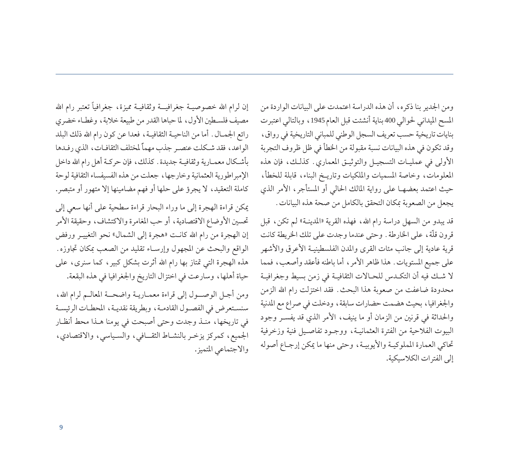إن لرام الله خصوصيـة جغرافيــة وثقافيـة مميزة، جغرافياً تعتبر رام الله مصيف فلسـطين الأول، لما حباها القدر من طبيعة خلابة، وغطـاء خضري رائع الجمـال . أما من الناحيـة الثقافيـة، فعدا عن كون رام الله ذلك البلد الواعد، فقد شكلت عنصر جذب مهماً لمختلف الثقافـات، الذي رفـدها بأشكال معمـارية وثقافيـة جديدة . كذلك، فإن حركـة أهل رام الله داخل الإمبراطورية العثمانية وخارجها، جعلت من هذه الفسيفساء الثقافية لوحة كاملة التعقيد، لا يجرؤ على حلها أو فهم مضامينها إلا متهور أو متبصر.

يمكن قراءة الهجرة إلى ما وراء البحار قراءة سطحية على أنها سعى إلى تحسين الأوضاع الاقتصادية، أو حب المغامرة والاكتشاف، وحقيقة الأمر إن الهجرة من رام الله كانت «هجرة إلى الشمال» نحو التغييـر ورفض الواقع والبحث عن المجهول وإرسـاء تقليد من الصعب بمكان تجاوزه. هذه الهجرة التي تمتاز بها رام الله أثرت بشكل كبير، كما سنرى، على حياة أهلها، وسارعت في اختزال التاريخ والجغرافيا في هذه البقعة.

ومن أجل الوصول إلى قراءة معمـاريـة واضحـة المعالـم لرام الله، سنستعرض في الفصول القادمة، وبطريقة نقديـة، المحطـات الرئيسـة في تاريخها، منـذ وجدت وحتى أصبحت في يومنا هـذا محط أنظـار الجميع، كمركز يزخر بالنشاط الثقافي، والسياسي، والاقتصادي، والاجتماعي المتميز. ومن الجدير بنا ذكره، أن هذه الدراسة اعتمدت على البيانات الواردة من المسح الميداني لحوالي 400 بناية أنشئت قبل العام 1945 ، وبالتالي اعتبرت بنايات تاريخية حسب تعريف السجل الوطني للمباني التاريخية في رواق، وقد تكون في هذه البيانات نسبة مقبولة من الخطأ في ظل ظروف التجربة الأولى في عمليات التسجيـل والتوثيـق المعماري. كذلـك، فإن هذه المعلومات، وخاصة المسميات والملكيات وتاريـخ البناء، قابلة للخطأ، حيث اعتمد بعضهـا على رواية المالك الحالي أو المستأجر، الأمر الذي يجعل من الصعوبة بمكان التحقق بالكامل من صحة هذه البيانات.

قد يبدو من السهل دراسة رام الله، فهذه القرية «المدينـة» لـم تكن، قبل قرون قلَّة، على الخارطة . وحتى عندما وجدت على تلك الخريطة كانت قرية عادية إلى جانب مئات القرى والمدن الفلسطينيـة الأعرق والأشهر على جميع المستويات. هذا ظاهر الأمر ، أما باطنه فأعقد وأصعب، فمما لا شـك فيه أن التكـدس للحـالات الثقافيـة في زمن بسيط وجغرافيـة محدودة ضاعفت من صعوبة هذا البحث. فقد اختزلت رام الله الزمن والجغرافيا، بحيث هضمت حضارات سابقة، ودخلت في صراع مع المدنية والحداثة في قرنين من الزمان أو ما ينيف، الأمر الذي قد يفسـر وجود البيوت الفلاحية من الفترة العثمانيـة، ووجـود تفاصـيل فنية وزخرفية تحاكي العمارة المملوكيـة والأيوبيـة، وحتى منها ما يمكن إرجـاع أصوله إلى الفترات الكلاسيكية.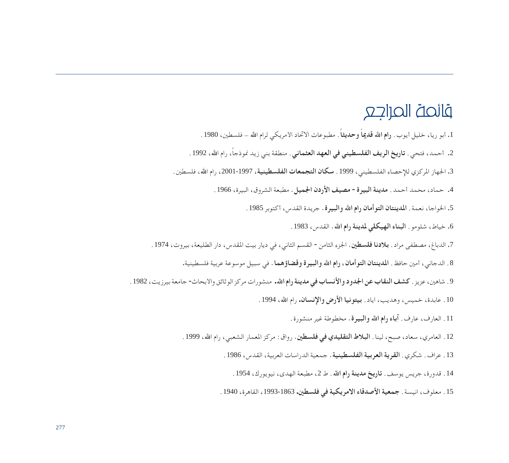### قائصة الحراجع

- .1 أبو ريا، خليل أيوب. **رام ا**¶ **ً قديما ً وحديثا**. مطبوعات الاتحاد الأمريكي لرام ا¶ فلسطين، .<sup>1980</sup>
- .2 أحمد، فتحي. **تاريخ الريف الفلسطيني في العهد العثماني** ً . منطقة بني زيد نموذجا، رام ا¶، .<sup>1992</sup>
- .3 الجهاز المركزي للإحصاء الفلسطيني، .<sup>1999</sup> **سكان التجمعات الفلسطينية**، ،2001-1997 رام ا¶، فلسطين.
	- .4 حماد، محمد أحمد. **مدينة البيرة - مصيف الأردن الجميل.** مطبعة الشروق، البيرة، .1966
		- .5 الخواجا، نعمة. **المدينتان التوأمان رام ا**¶ **والبيرة.** جريدة القدس، أكتوبر .<sup>1985</sup>
			- .6 خياط، شلومو. **البناء الهيكلي لمدينة رام ا**¶**.** القدس، .<sup>1983</sup>
- 7. الدباغ، مصطفى مراد . **بلادنا فلسطين**. الجزء الثامن القسم الثاني، في ديار بيت المقدس، دار الطليعة، بيروت، 1974 .
	- .8 الدجاني، أمين حافظ. **المدينتان التوأمان، رام ا**¶ **والبيرة وقضاؤهما.** في سبيل موسوعة عربية فلسطينية.
- .9 شاهين، عزيز. **كشف النقاب عن الجدود والأنساب في مدينة رام ا**¶**.** منشورات مركز الوثائق والأبحاث- جامعة بيرزيت، .<sup>1982</sup>
	- .10 عابدة، خميس، وهديب، اياد. **بيتونيا الأرض والإنسان.** رام ا¶، .<sup>1994</sup>
		- .11 العارف، عارف. **آباء رام ا**¶ **والبيرة.** مخطوطة غير منشورة.
	- 12 . العامري، سعاد، صبح، لينا. **البلاط التقليدي في فلسطين**. رواق: مركز المعمار الشعبي، رام الله، 1999 .
		- .13 عراف. شكري. **القرية العربية الفلسطينية.** جمعية الدراسات العربية، القدس، .1986
			- .14 قدورة، جريس يوسف. **تاريخ مدينة رام ا**¶. ط ،2 مطبعة الهدى، نيويورك، .<sup>1954</sup>
		- .15 معلوف، انيسة. **جمعية الأصدقاء الامريكية في فلسطين.** ،1993-1863 القاهرة، .1940